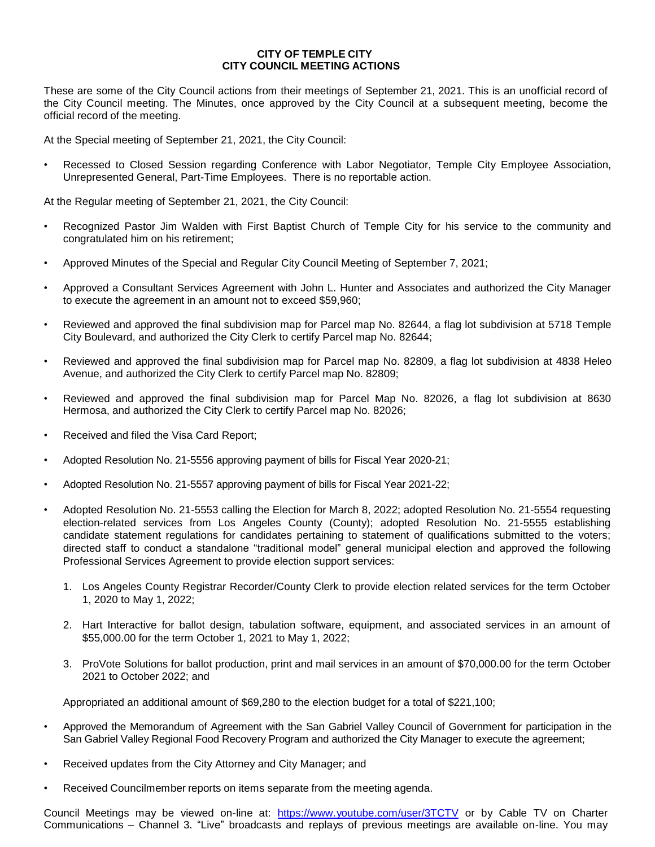## **CITY OF TEMPLE CITY CITY COUNCIL MEETING ACTIONS**

These are some of the City Council actions from their meetings of September 21, 2021. This is an unofficial record of the City Council meeting. The Minutes, once approved by the City Council at a subsequent meeting, become the official record of the meeting.

At the Special meeting of September 21, 2021, the City Council:

Recessed to Closed Session regarding Conference with Labor Negotiator, Temple City Employee Association, Unrepresented General, Part-Time Employees. There is no reportable action.

At the Regular meeting of September 21, 2021, the City Council:

- Recognized Pastor Jim Walden with First Baptist Church of Temple City for his service to the community and congratulated him on his retirement;
- Approved Minutes of the Special and Regular City Council Meeting of September 7, 2021;
- Approved a Consultant Services Agreement with John L. Hunter and Associates and authorized the City Manager to execute the agreement in an amount not to exceed \$59,960;
- Reviewed and approved the final subdivision map for Parcel map No. 82644, a flag lot subdivision at 5718 Temple City Boulevard, and authorized the City Clerk to certify Parcel map No. 82644;
- Reviewed and approved the final subdivision map for Parcel map No. 82809, a flag lot subdivision at 4838 Heleo Avenue, and authorized the City Clerk to certify Parcel map No. 82809;
- Reviewed and approved the final subdivision map for Parcel Map No. 82026, a flag lot subdivision at 8630 Hermosa, and authorized the City Clerk to certify Parcel map No. 82026;
- Received and filed the Visa Card Report;
- Adopted Resolution No. 21-5556 approving payment of bills for Fiscal Year 2020-21;
- Adopted Resolution No. 21-5557 approving payment of bills for Fiscal Year 2021-22;
- Adopted Resolution No. 21-5553 calling the Election for March 8, 2022; adopted Resolution No. 21-5554 requesting election-related services from Los Angeles County (County); adopted Resolution No. 21-5555 establishing candidate statement regulations for candidates pertaining to statement of qualifications submitted to the voters; directed staff to conduct a standalone "traditional model" general municipal election and approved the following Professional Services Agreement to provide election support services:
	- 1. Los Angeles County Registrar Recorder/County Clerk to provide election related services for the term October 1, 2020 to May 1, 2022;
	- 2. Hart Interactive for ballot design, tabulation software, equipment, and associated services in an amount of \$55,000.00 for the term October 1, 2021 to May 1, 2022;
	- 3. ProVote Solutions for ballot production, print and mail services in an amount of \$70,000.00 for the term October 2021 to October 2022; and

Appropriated an additional amount of \$69,280 to the election budget for a total of \$221,100;

- Approved the Memorandum of Agreement with the San Gabriel Valley Council of Government for participation in the San Gabriel Valley Regional Food Recovery Program and authorized the City Manager to execute the agreement;
- Received updates from the City Attorney and City Manager; and
- Received Councilmember reports on items separate from the meeting agenda.

Council Meetings may be viewed on-line at: <https://www.youtube.com/user/3TCTV> or by Cable TV on Charter Communications – Channel 3. "Live" broadcasts and replays of previous meetings are available on-line. You may